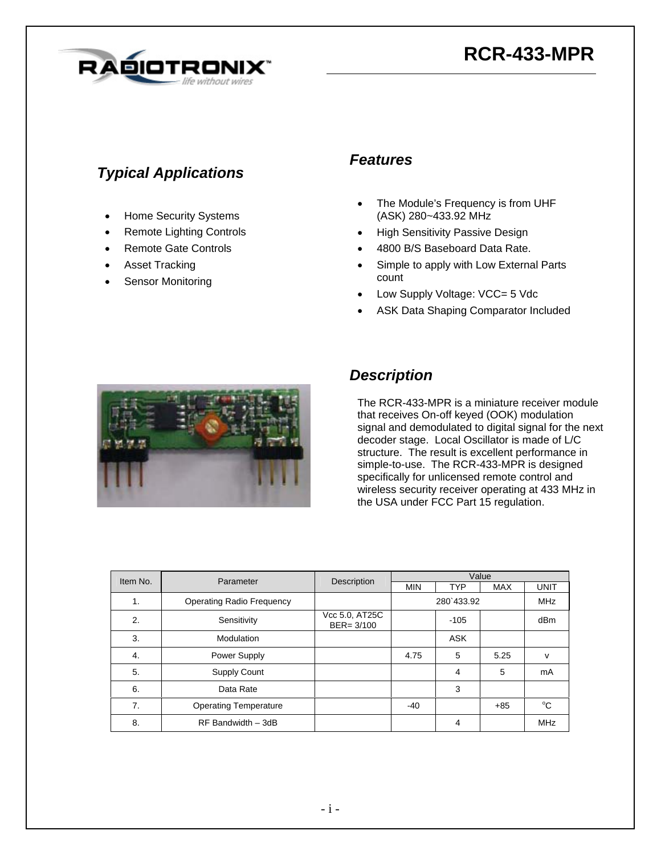# **RCR-433-MPR**



### *Typical Applications*

- Home Security Systems
- Remote Lighting Controls
- Remote Gate Controls
- Asset Tracking
- Sensor Monitoring

#### *Features*

- The Module's Frequency is from UHF (ASK) 280~433.92 MHz
- High Sensitivity Passive Design
- 4800 B/S Baseboard Data Rate.
- Simple to apply with Low External Parts count
- Low Supply Voltage: VCC= 5 Vdc
- ASK Data Shaping Comparator Included



#### *Description*

The RCR-433-MPR is a miniature receiver module that receives On-off keyed (OOK) modulation signal and demodulated to digital signal for the next decoder stage. Local Oscillator is made of L/C structure. The result is excellent performance in simple-to-use. The RCR-433-MPR is designed specifically for unlicensed remote control and wireless security receiver operating at 433 MHz in the USA under FCC Part 15 regulation.

| Item No. | Parameter                        | Description                     | Value      |            |            |                 |
|----------|----------------------------------|---------------------------------|------------|------------|------------|-----------------|
|          |                                  |                                 | <b>MIN</b> | <b>TYP</b> | <b>MAX</b> | UNIT            |
| 1.       | <b>Operating Radio Frequency</b> |                                 |            | 280 433.92 |            | <b>MHz</b>      |
| 2.       | Sensitivity                      | Vcc 5.0, AT25C<br>$BER = 3/100$ |            | $-105$     |            | dB <sub>m</sub> |
| 3.       | Modulation                       |                                 |            | <b>ASK</b> |            |                 |
| 4.       | Power Supply                     |                                 | 4.75       | 5          | 5.25       | v               |
| 5.       | <b>Supply Count</b>              |                                 |            | 4          | 5          | mA              |
| 6.       | Data Rate                        |                                 |            | 3          |            |                 |
| 7.       | <b>Operating Temperature</b>     |                                 | -40        |            | $+85$      | °C              |
| 8.       | RF Bandwidth - 3dB               |                                 |            | 4          |            | <b>MHz</b>      |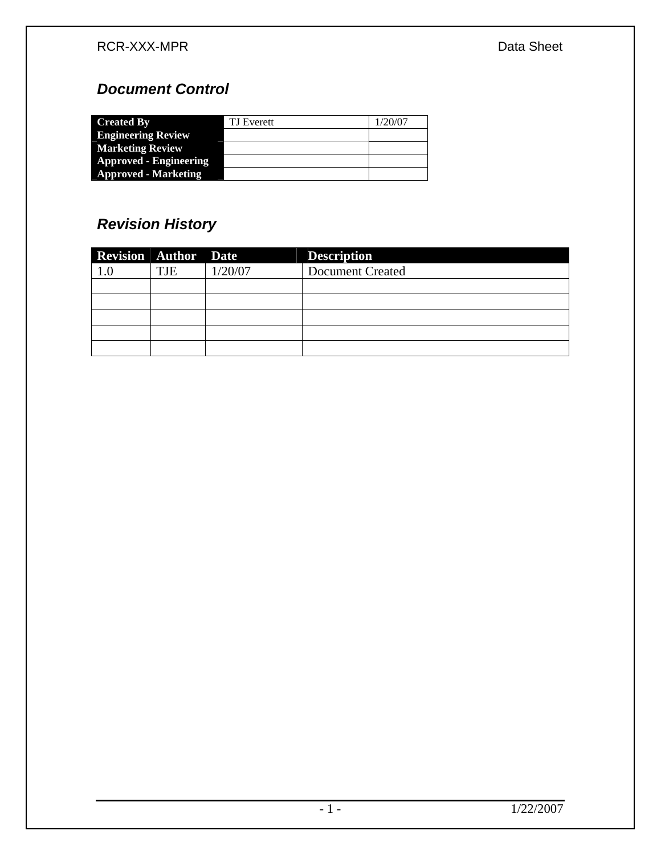# *Document Control*

| <b>Created By</b>             | TJ Everett | 1/20/07 |
|-------------------------------|------------|---------|
| <b>Engineering Review</b>     |            |         |
| <b>Marketing Review</b>       |            |         |
| <b>Approved - Engineering</b> |            |         |
| <b>Approved - Marketing</b>   |            |         |

# *Revision History*

| <b>Revision Author Date</b> |     |         | <b>Description</b>      |
|-----------------------------|-----|---------|-------------------------|
|                             | TJE | 1/20/07 | <b>Document Created</b> |
|                             |     |         |                         |
|                             |     |         |                         |
|                             |     |         |                         |
|                             |     |         |                         |
|                             |     |         |                         |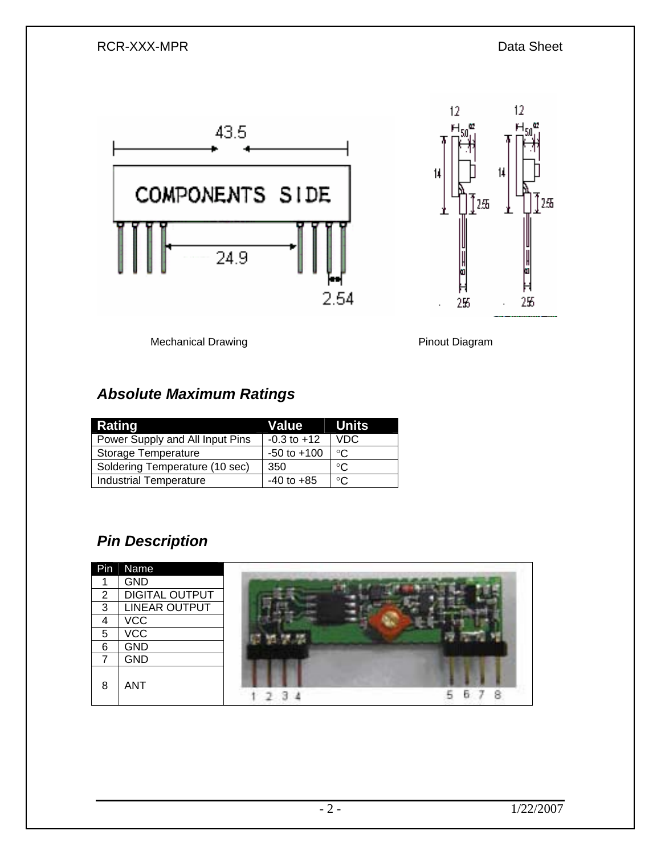



Mechanical Drawing **Pinout Diagram** Pinout Diagram

### *Absolute Maximum Ratings*

| Rating                          | Value Units     |              |
|---------------------------------|-----------------|--------------|
| Power Supply and All Input Pins | $-0.3$ to $+12$ | VDC          |
| <b>Storage Temperature</b>      | $-50$ to $+100$ | $^{\circ}$ C |
| Soldering Temperature (10 sec)  | 350             | ∘∩           |
| <b>Industrial Temperature</b>   | $-40$ to $+85$  | ം            |

# *Pin Description*

| Pin | Name                  |  |
|-----|-----------------------|--|
|     | <b>GND</b>            |  |
| 2   | <b>DIGITAL OUTPUT</b> |  |
| 3   | LINEAR OUTPUT         |  |
| 4   | <b>VCC</b>            |  |
| 5   | <b>VCC</b>            |  |
| 6   | <b>GND</b>            |  |
|     | <b>GND</b>            |  |
| 8   | <b>ANT</b>            |  |